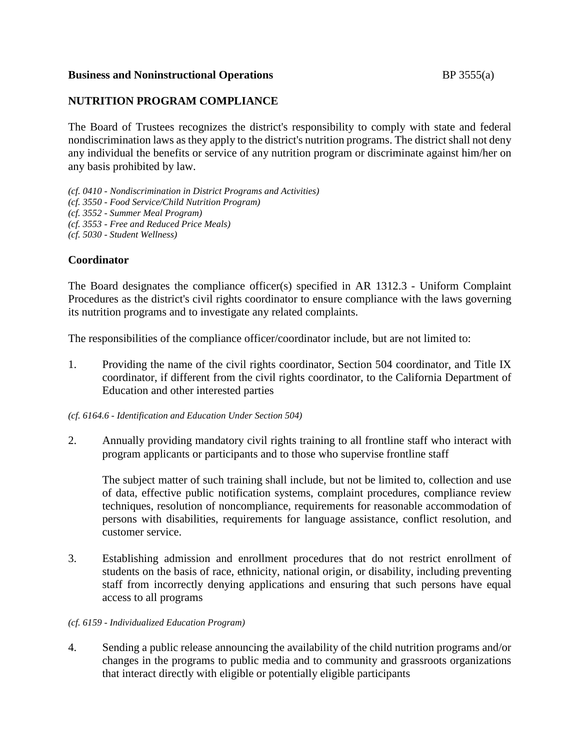## **Business and Noninstructional Operations BP** 3555(a)

## **NUTRITION PROGRAM COMPLIANCE**

The Board of Trustees recognizes the district's responsibility to comply with state and federal nondiscrimination laws as they apply to the district's nutrition programs. The district shall not deny any individual the benefits or service of any nutrition program or discriminate against him/her on any basis prohibited by law.

*(cf. 0410 - Nondiscrimination in District Programs and Activities) (cf. 3550 - Food Service/Child Nutrition Program) (cf. 3552 - Summer Meal Program) (cf. 3553 - Free and Reduced Price Meals) (cf. 5030 - Student Wellness)*

## **Coordinator**

The Board designates the compliance officer(s) specified in AR 1312.3 - Uniform Complaint Procedures as the district's civil rights coordinator to ensure compliance with the laws governing its nutrition programs and to investigate any related complaints.

The responsibilities of the compliance officer/coordinator include, but are not limited to:

1. Providing the name of the civil rights coordinator, Section 504 coordinator, and Title IX coordinator, if different from the civil rights coordinator, to the California Department of Education and other interested parties

*(cf. 6164.6 - Identification and Education Under Section 504)*

2. Annually providing mandatory civil rights training to all frontline staff who interact with program applicants or participants and to those who supervise frontline staff

The subject matter of such training shall include, but not be limited to, collection and use of data, effective public notification systems, complaint procedures, compliance review techniques, resolution of noncompliance, requirements for reasonable accommodation of persons with disabilities, requirements for language assistance, conflict resolution, and customer service.

3. Establishing admission and enrollment procedures that do not restrict enrollment of students on the basis of race, ethnicity, national origin, or disability, including preventing staff from incorrectly denying applications and ensuring that such persons have equal access to all programs

#### *(cf. 6159 - Individualized Education Program)*

4. Sending a public release announcing the availability of the child nutrition programs and/or changes in the programs to public media and to community and grassroots organizations that interact directly with eligible or potentially eligible participants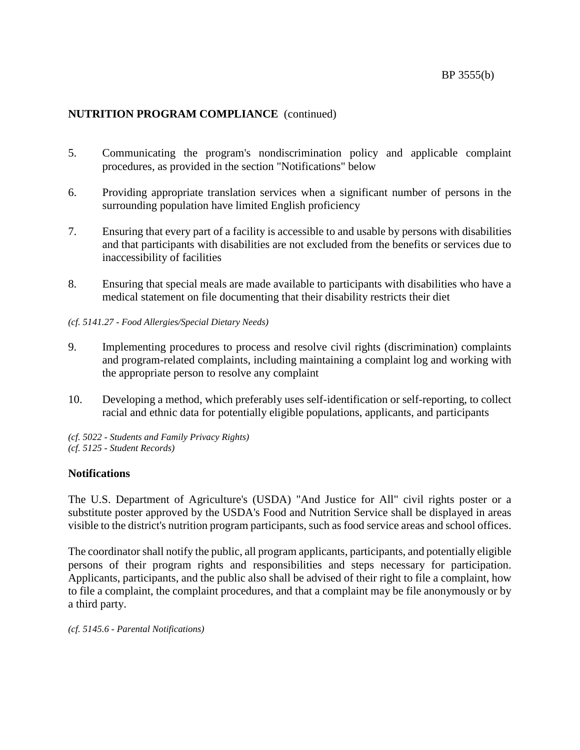- 5. Communicating the program's nondiscrimination policy and applicable complaint procedures, as provided in the section "Notifications" below
- 6. Providing appropriate translation services when a significant number of persons in the surrounding population have limited English proficiency
- 7. Ensuring that every part of a facility is accessible to and usable by persons with disabilities and that participants with disabilities are not excluded from the benefits or services due to inaccessibility of facilities
- 8. Ensuring that special meals are made available to participants with disabilities who have a medical statement on file documenting that their disability restricts their diet
- *(cf. 5141.27 - Food Allergies/Special Dietary Needs)*
- 9. Implementing procedures to process and resolve civil rights (discrimination) complaints and program-related complaints, including maintaining a complaint log and working with the appropriate person to resolve any complaint
- 10. Developing a method, which preferably uses self-identification or self-reporting, to collect racial and ethnic data for potentially eligible populations, applicants, and participants
- *(cf. 5022 - Students and Family Privacy Rights) (cf. 5125 - Student Records)*

## **Notifications**

The U.S. Department of Agriculture's (USDA) "And Justice for All" civil rights poster or a substitute poster approved by the USDA's Food and Nutrition Service shall be displayed in areas visible to the district's nutrition program participants, such as food service areas and school offices.

The coordinator shall notify the public, all program applicants, participants, and potentially eligible persons of their program rights and responsibilities and steps necessary for participation. Applicants, participants, and the public also shall be advised of their right to file a complaint, how to file a complaint, the complaint procedures, and that a complaint may be file anonymously or by a third party.

*(cf. 5145.6 - Parental Notifications)*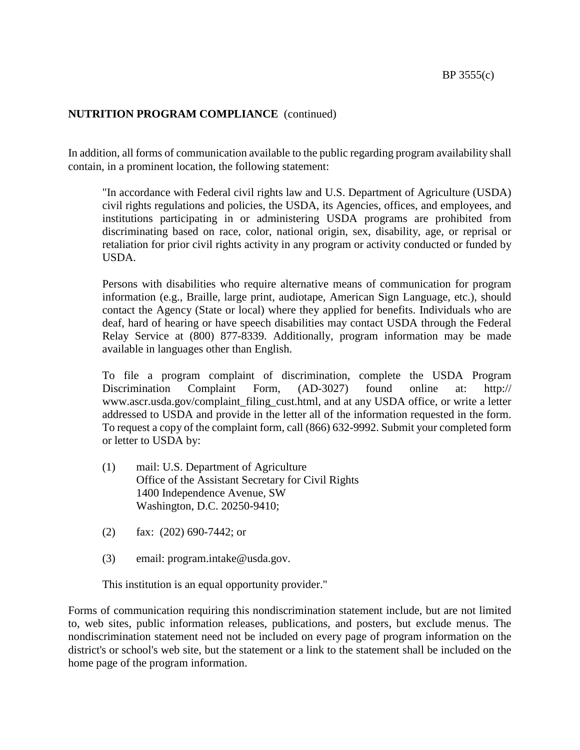In addition, all forms of communication available to the public regarding program availability shall contain, in a prominent location, the following statement:

"In accordance with Federal civil rights law and U.S. Department of Agriculture (USDA) civil rights regulations and policies, the USDA, its Agencies, offices, and employees, and institutions participating in or administering USDA programs are prohibited from discriminating based on race, color, national origin, sex, disability, age, or reprisal or retaliation for prior civil rights activity in any program or activity conducted or funded by USDA.

Persons with disabilities who require alternative means of communication for program information (e.g., Braille, large print, audiotape, American Sign Language, etc.), should contact the Agency (State or local) where they applied for benefits. Individuals who are deaf, hard of hearing or have speech disabilities may contact USDA through the Federal Relay Service at (800) 877-8339. Additionally, program information may be made available in languages other than English.

To file a program complaint of discrimination, complete the USDA Program Discrimination Complaint Form, (AD-3027) found online at: http:// www.ascr.usda.gov/complaint\_filing\_cust.html, and at any USDA office, or write a letter addressed to USDA and provide in the letter all of the information requested in the form. To request a copy of the complaint form, call (866) 632-9992. Submit your completed form or letter to USDA by:

- (1) mail: U.S. Department of Agriculture Office of the Assistant Secretary for Civil Rights 1400 Independence Avenue, SW Washington, D.C. 20250-9410;
- (2) fax: (202) 690-7442; or
- (3) email: program.intake@usda.gov.

This institution is an equal opportunity provider."

Forms of communication requiring this nondiscrimination statement include, but are not limited to, web sites, public information releases, publications, and posters, but exclude menus. The nondiscrimination statement need not be included on every page of program information on the district's or school's web site, but the statement or a link to the statement shall be included on the home page of the program information.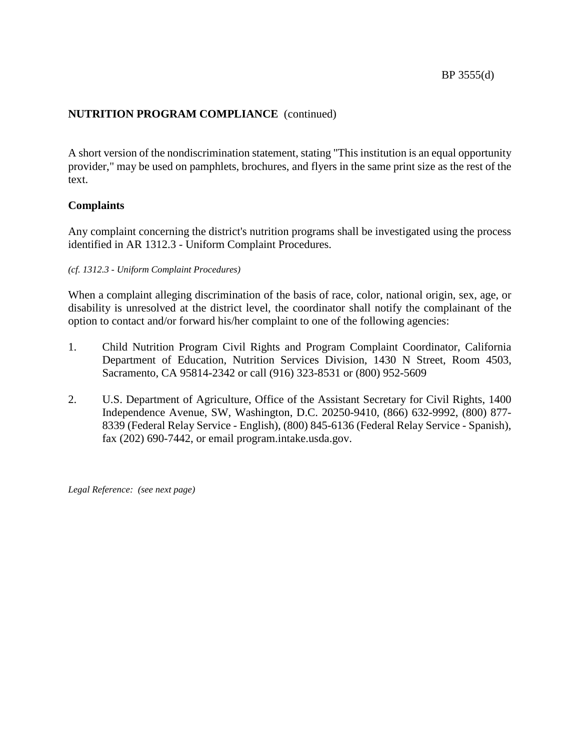A short version of the nondiscrimination statement, stating "This institution is an equal opportunity provider," may be used on pamphlets, brochures, and flyers in the same print size as the rest of the text.

## **Complaints**

Any complaint concerning the district's nutrition programs shall be investigated using the process identified in AR 1312.3 - Uniform Complaint Procedures.

## *(cf. 1312.3 - Uniform Complaint Procedures)*

When a complaint alleging discrimination of the basis of race, color, national origin, sex, age, or disability is unresolved at the district level, the coordinator shall notify the complainant of the option to contact and/or forward his/her complaint to one of the following agencies:

- 1. Child Nutrition Program Civil Rights and Program Complaint Coordinator, California Department of Education, Nutrition Services Division, 1430 N Street, Room 4503, Sacramento, CA 95814-2342 or call (916) 323-8531 or (800) 952-5609
- 2. U.S. Department of Agriculture, Office of the Assistant Secretary for Civil Rights, 1400 Independence Avenue, SW, Washington, D.C. 20250-9410, (866) 632-9992, (800) 877- 8339 (Federal Relay Service - English), (800) 845-6136 (Federal Relay Service - Spanish), fax (202) 690-7442, or email program.intake.usda.gov.

*Legal Reference: (see next page)*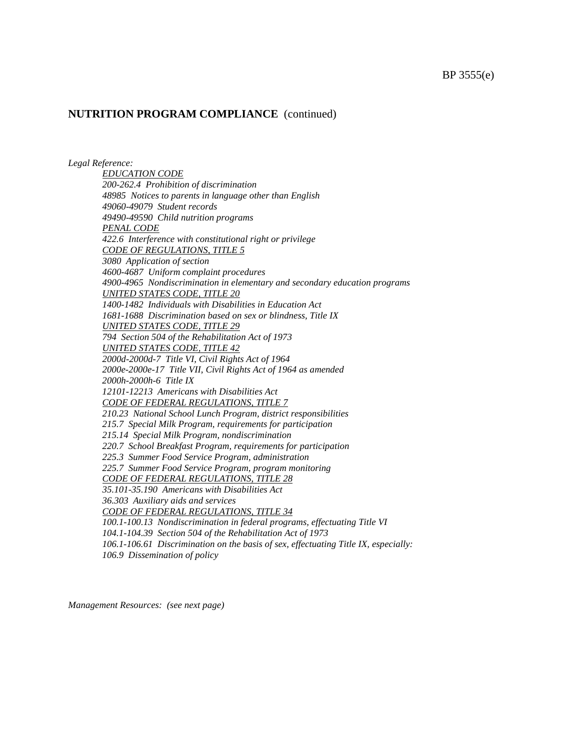*Legal Reference:*

*EDUCATION CODE 200-262.4 Prohibition of discrimination 48985 Notices to parents in language other than English 49060-49079 Student records 49490-49590 Child nutrition programs PENAL CODE 422.6 Interference with constitutional right or privilege CODE OF REGULATIONS, TITLE 5 3080 Application of section 4600-4687 Uniform complaint procedures 4900-4965 Nondiscrimination in elementary and secondary education programs UNITED STATES CODE, TITLE 20 1400-1482 Individuals with Disabilities in Education Act 1681-1688 Discrimination based on sex or blindness, Title IX UNITED STATES CODE, TITLE 29 794 Section 504 of the Rehabilitation Act of 1973 UNITED STATES CODE, TITLE 42 2000d-2000d-7 Title VI, Civil Rights Act of 1964 2000e-2000e-17 Title VII, Civil Rights Act of 1964 as amended 2000h-2000h-6 Title IX 12101-12213 Americans with Disabilities Act CODE OF FEDERAL REGULATIONS, TITLE 7 210.23 National School Lunch Program, district responsibilities 215.7 Special Milk Program, requirements for participation 215.14 Special Milk Program, nondiscrimination 220.7 School Breakfast Program, requirements for participation 225.3 Summer Food Service Program, administration 225.7 Summer Food Service Program, program monitoring CODE OF FEDERAL REGULATIONS, TITLE 28 35.101-35.190 Americans with Disabilities Act 36.303 Auxiliary aids and services CODE OF FEDERAL REGULATIONS, TITLE 34 100.1-100.13 Nondiscrimination in federal programs, effectuating Title VI 104.1-104.39 Section 504 of the Rehabilitation Act of 1973 106.1-106.61 Discrimination on the basis of sex, effectuating Title IX, especially: 106.9 Dissemination of policy*

*Management Resources: (see next page)*